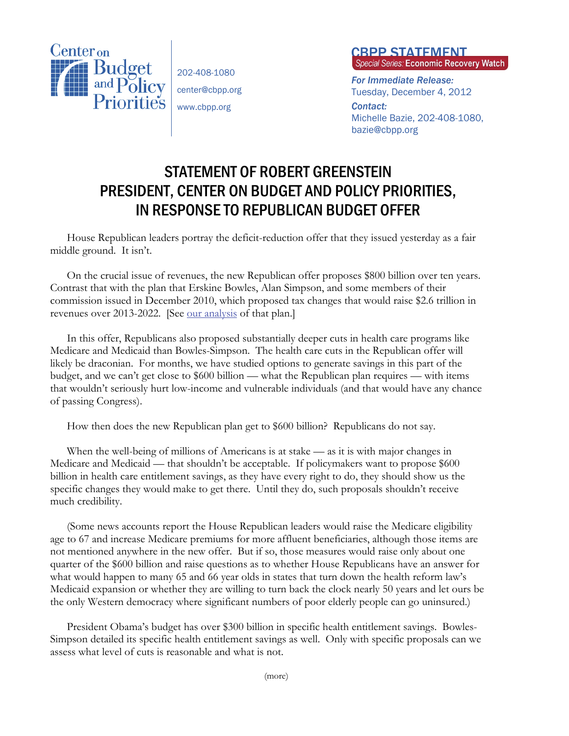

202-408-1080 center@cbpp.org www.cbpp.org

## **CBPP STATEMENT**<br>Special Series: Economic Recovery Watch

*For Immediate Release:*  Tuesday, December 4, 2012

*Contact:*  Michelle Bazie, 202-408-1080, bazie@cbpp.org

## STATEMENT OF ROBERT GREENSTEIN PRESIDENT, CENTER ON BUDGET AND POLICY PRIORITIES, IN RESPONSE TO REPUBLICAN BUDGET OFFER

House Republican leaders portray the deficit-reduction offer that they issued yesterday as a fair middle ground. It isn't.

On the crucial issue of revenues, the new Republican offer proposes \$800 billion over ten years. Contrast that with the plan that Erskine Bowles, Alan Simpson, and some members of their commission issued in December 2010, which proposed tax changes that would raise \$2.6 trillion in revenues over 2013-2022. [See our analysis of that plan.]

In this offer, Republicans also proposed substantially deeper cuts in health care programs like Medicare and Medicaid than Bowles-Simpson. The health care cuts in the Republican offer will likely be draconian. For months, we have studied options to generate savings in this part of the budget, and we can't get close to \$600 billion — what the Republican plan requires — with items that wouldn't seriously hurt low-income and vulnerable individuals (and that would have any chance of passing Congress).

How then does the new Republican plan get to \$600 billion? Republicans do not say.

When the well-being of millions of Americans is at stake — as it is with major changes in Medicare and Medicaid — that shouldn't be acceptable. If policymakers want to propose \$600 billion in health care entitlement savings, as they have every right to do, they should show us the specific changes they would make to get there. Until they do, such proposals shouldn't receive much credibility.

(Some news accounts report the House Republican leaders would raise the Medicare eligibility age to 67 and increase Medicare premiums for more affluent beneficiaries, although those items are not mentioned anywhere in the new offer. But if so, those measures would raise only about one quarter of the \$600 billion and raise questions as to whether House Republicans have an answer for what would happen to many 65 and 66 year olds in states that turn down the health reform law's Medicaid expansion or whether they are willing to turn back the clock nearly 50 years and let ours be the only Western democracy where significant numbers of poor elderly people can go uninsured.)

President Obama's budget has over \$300 billion in specific health entitlement savings. Bowles-Simpson detailed its specific health entitlement savings as well. Only with specific proposals can we assess what level of cuts is reasonable and what is not.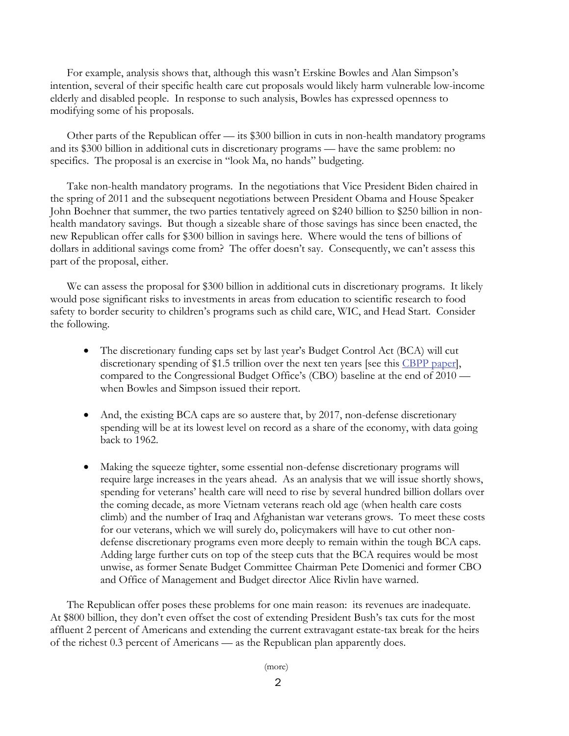For example, analysis shows that, although this wasn't Erskine Bowles and Alan Simpson's intention, several of their specific health care cut proposals would likely harm vulnerable low-income elderly and disabled people. In response to such analysis, Bowles has expressed openness to modifying some of his proposals.

Other parts of the Republican offer — its \$300 billion in cuts in non-health mandatory programs and its \$300 billion in additional cuts in discretionary programs — have the same problem: no specifics. The proposal is an exercise in "look Ma, no hands" budgeting.

Take non-health mandatory programs. In the negotiations that Vice President Biden chaired in the spring of 2011 and the subsequent negotiations between President Obama and House Speaker John Boehner that summer, the two parties tentatively agreed on \$240 billion to \$250 billion in nonhealth mandatory savings. But though a sizeable share of those savings has since been enacted, the new Republican offer calls for \$300 billion in savings here. Where would the tens of billions of dollars in additional savings come from? The offer doesn't say. Consequently, we can't assess this part of the proposal, either.

We can assess the proposal for \$300 billion in additional cuts in discretionary programs. It likely would pose significant risks to investments in areas from education to scientific research to food safety to border security to children's programs such as child care, WIC, and Head Start. Consider the following.

- The discretionary funding caps set by last year's Budget Control Act (BCA) will cut discretionary spending of \$1.5 trillion over the next ten years [see this CBPP paper], compared to the Congressional Budget Office's (CBO) baseline at the end of 2010 when Bowles and Simpson issued their report.
- And, the existing BCA caps are so austere that, by 2017, non-defense discretionary spending will be at its lowest level on record as a share of the economy, with data going back to 1962.
- Making the squeeze tighter, some essential non-defense discretionary programs will require large increases in the years ahead. As an analysis that we will issue shortly shows, spending for veterans' health care will need to rise by several hundred billion dollars over the coming decade, as more Vietnam veterans reach old age (when health care costs climb) and the number of Iraq and Afghanistan war veterans grows. To meet these costs for our veterans, which we will surely do, policymakers will have to cut other nondefense discretionary programs even more deeply to remain within the tough BCA caps. Adding large further cuts on top of the steep cuts that the BCA requires would be most unwise, as former Senate Budget Committee Chairman Pete Domenici and former CBO and Office of Management and Budget director Alice Rivlin have warned.

The Republican offer poses these problems for one main reason: its revenues are inadequate. At \$800 billion, they don't even offset the cost of extending President Bush's tax cuts for the most affluent 2 percent of Americans and extending the current extravagant estate-tax break for the heirs of the richest 0.3 percent of Americans — as the Republican plan apparently does.

(more)